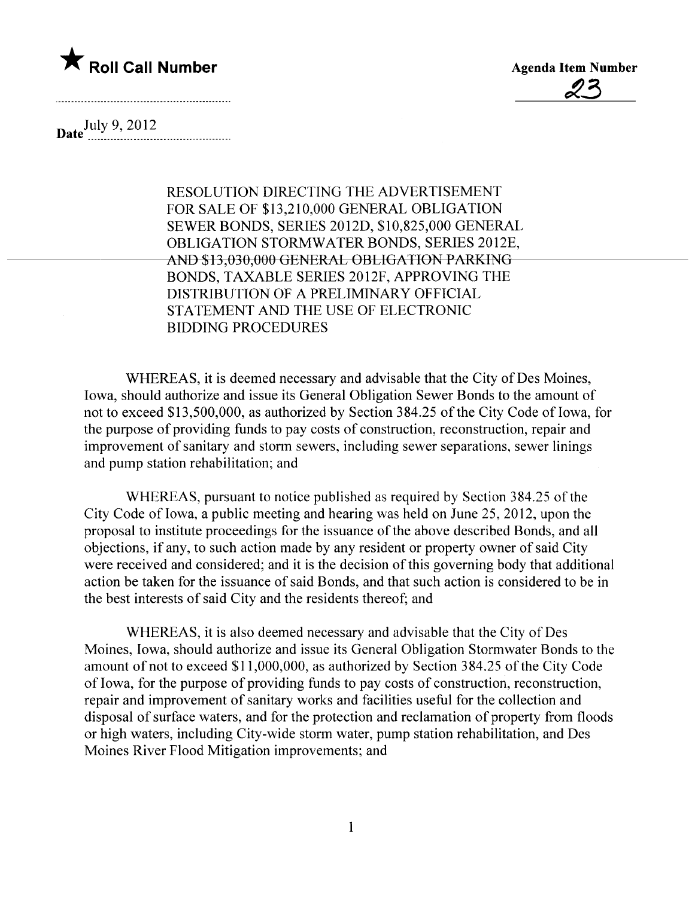

<u>23</u>

Date  $_{\dots}$  July 9, 2012

RESOLUTION DIRECTING THE ADVERTISEMENT FOR SALE OF \$13,210,000 GENERAL OBLIGATION SEWER BONDS, SERIES 2012D, \$10,825,000 GENERAL OBLIGATION STORMWATER BONDS, SERIES 2012E, AND \$13,030,000 GENERAL OBLIGATION PARKING BONDS, TAXABLE SERIES 2012F, APPROVING THE DISTRIBUTION OF A PRELIMINARY OFFICIAL STATEMENT AND THE USE OF ELECTRONIC BIDDING PROCEDURES

WHEREAS, it is deemed necessary and advisable that the City of Des Moines, Iowa, should authorize and issue its General Obligation Sewer Bonds to the amount of not to exceed \$13,500,000, as authorized by Section 384.25 of the City Code of Iowa, for the purpose of providing funds to pay costs of construction, reconstruction, repair and improvement of sanitary and storm sewers, including sewer separations, sewer linings and pump station rehabilitation; and

WHEREAS, pursuant to notice published as required by Section 384.25 of the City Code of Iowa, a public meeting and hearing was held on June 25, 2012, upon the proposal to institute proceedings for the issuance of the above described Bonds, and all objections, if any, to such action made by any resident or property owner of said City were received and considered; and it is the decision of this governing body that additional action be taken for the issuance of said Bonds, and that such action is considered to be in the best interests of said City and the residents thereof; and

WHEREAS, it is also deemed necessary and advisable that the City of Des Moines, Iowa, should authorize and issue its General Obligation Stormwater Bonds to the amount of not to exceed \$11,000,000, as authorized by Section 384.25 of the City Code of Iowa, for the purpose of providing funds to pay costs of construction, reconstruction, repair and improvement of sanitary works and facilties useful for the collection and disposal of surface waters, and for the protection and reclamation of property from floods or high waters, including City-wide storm water, pump station rehabilitation, and Des Moines River Flood Mitigation improvements; and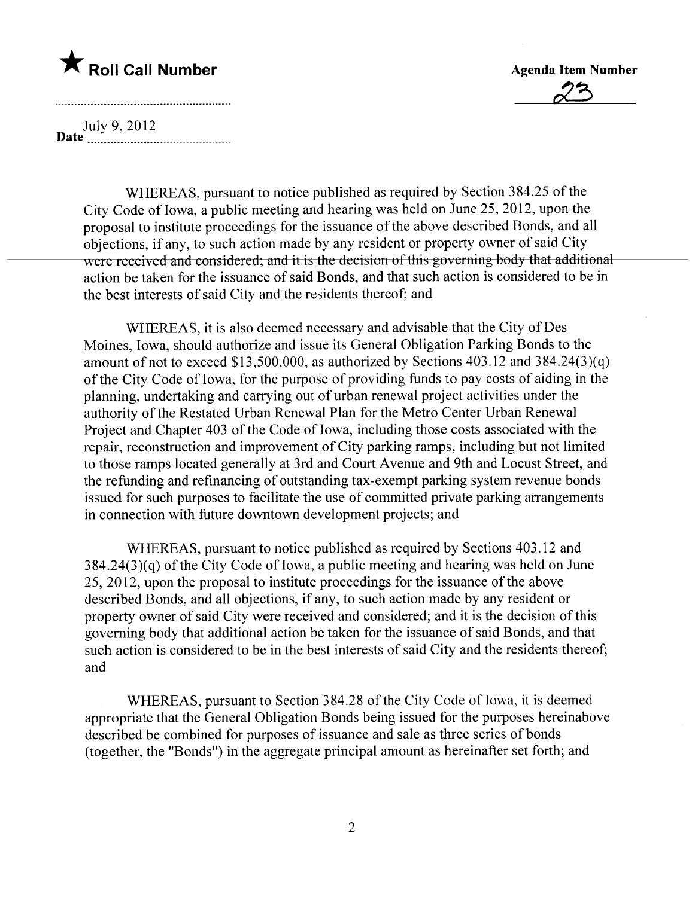# $\bigstar$  Roll Call Number



July 9, 2012 Date \_ \_ \_ \_ \_ \_ 00 \_ 00 \_ \_ uuu\_ \_ \_ \_ \_\_\_ \_ \_ \_ \_ \_ \_ \_ \_ \_ 0000 \_ \_ \_ \_\_

WHEREAS, pursuant to notice published as required by Section 384.25 of the City Code of Iowa, a public meeting and hearing was held on June 25, 2012, upon the proposal to institute proceedings for the issuance of the above described Bonds, and all objections, if any, to such action made by any resident or property owner of said City were received and considered; and it is the decision of this governing body that additional action be taken for the issuance of said Bonds, and that such action is considered to be in the best interests of said City and the residents thereof; and

WHEREAS, it is also deemed necessary and advisable that the City of Des Moines, Iowa, should authorize and issue its General Obligation Parking Bonds to the amount of not to exceed \$13,500,000, as authorized by Sections 403.12 and 384.24(3)(q) of the City Code of Iowa, for the purpose of providing funds to pay costs of aiding in the planning, undertaking and carrying out of urban renewal project activities under the authority of the Restated Urban Renewal Plan for the Metro Center Urban Renewal Project and Chapter 403 of the Code of Iowa, including those costs associated with the repair, reconstruction and improvement of City parking ramps, including but not limited to those ramps located generally at 3rd and Court Avenue and 9th and Locust Street, and the refunding and refinancing of outstanding tax-exempt parking system revenue bonds issued for such purposes to facilitate the use of committed private parking arrangements in connection with future downtown development projects; and

WHEREAS, pursuant to notice published as required by Sections 403.12 and  $384.24(3)(q)$  of the City Code of Iowa, a public meeting and hearing was held on June 25,2012, upon the proposal to institute proceedings for the issuance of the above described Bonds, and all objections, if any, to such action made by any resident or property owner of said City were received and considered; and it is the decision of this governing body that additional action be taken for the issuance of said Bonds, and that such action is considered to be in the best interests of said City and the residents thereof; and

WHEREAS, pursuant to Section 384.28 of the City Code of Iowa, it is deemed appropriate that the General Obligation Bonds being issued for the purposes hereinabove described be combined for purposes of issuance and sale as three series of bonds (together, the "Bonds") in the aggregate principal amount as hereinafter set forth; and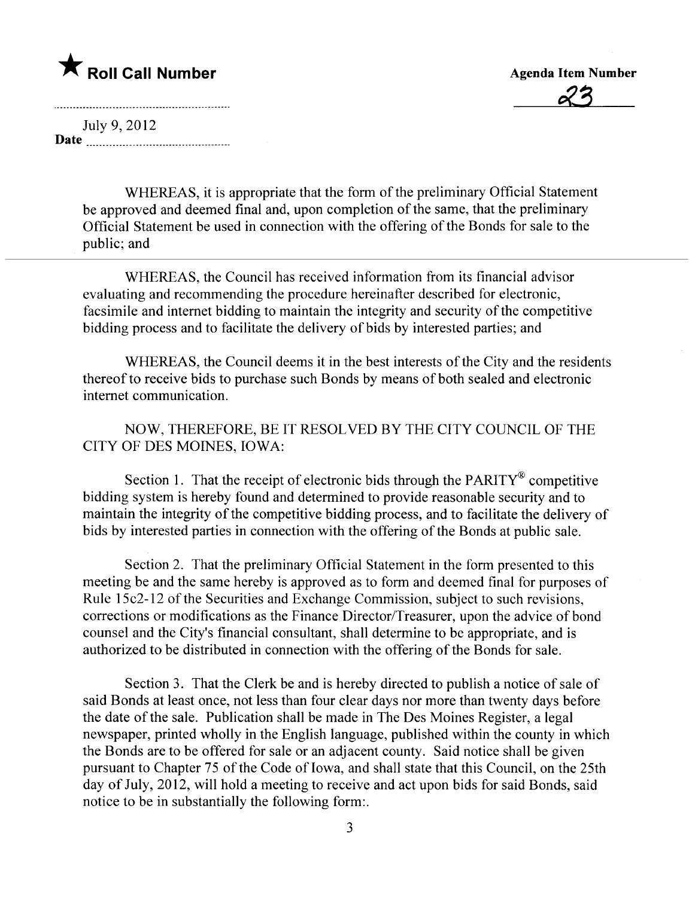## \* Roll Call Number Agenda Item Number

<u>23</u>

July 9, 2012 Date

<u> 1986 - John Stein, Amerikaansk politiker (</u>

WHEREAS, it is appropriate that the form of the preliminary Official Statement be approved and deemed final and, upon completion of the same, that the preliminary Official Statement be used in connection with the offering of the Bonds for sale to the public; and

WHEREAS, the Council has received information from its financial advisor evaluating and recommending the procedure hereinafter described for electronic, facsimile and internet bidding to maintain the integrity and security of the competitive bidding process and to facilitate the delivery of bids by interested parties; and

WHEREAS, the Council deems it in the best interests of the City and the residents thereof to receive bids to purchase such Bonds by means of both sealed and electronic internet communication.

NOW, THEREFORE, BE IT RESOLVED BY THE CITY COUNCIL OF THE CITY OF DES MOINES, IOWA:

Section 1. That the receipt of electronic bids through the  $PARTY^{\mathcal{R}}$  competitive bidding system is hereby found and determined to provide reasonable security and to maintain the integrity of the competitive bidding process, and to faciltate the delivery of bids by interested parties in connection with the offering of the Bonds at public sale.

Section 2. That the preliminary Official Statement in the form presented to this meeting be and the same hereby is approved as to form and deemed final for purposes of Rule 15c2-12 of the Securities and Exchange Commission, subject to such revisions, corrections or modifications as the Finance Director/Treasurer, upon the advice of bond counsel and the City's financial consultant, shall determine to be appropriate, and is authorized to be distributed in connection with the offering of the Bonds for sale.

Section 3. That the Clerk be and is hereby directed to publish a notice of sale of said Bonds at least once, not less than four clear days nor more than twenty days before the date of the sale. Publication shall be made in The Des Moines Register, a legal newspaper, printed wholly in the English language, published within the county in which the Bonds are to be offered for sale or an adjacent county. Said notice shall be given pursuant to Chapter 75 of the Code of Iowa, and shall state that this Council, on the 25th day of July, 2012, will hold a meeting to receive and act upon bids for said Bonds, said notice to be in substantially the following form:.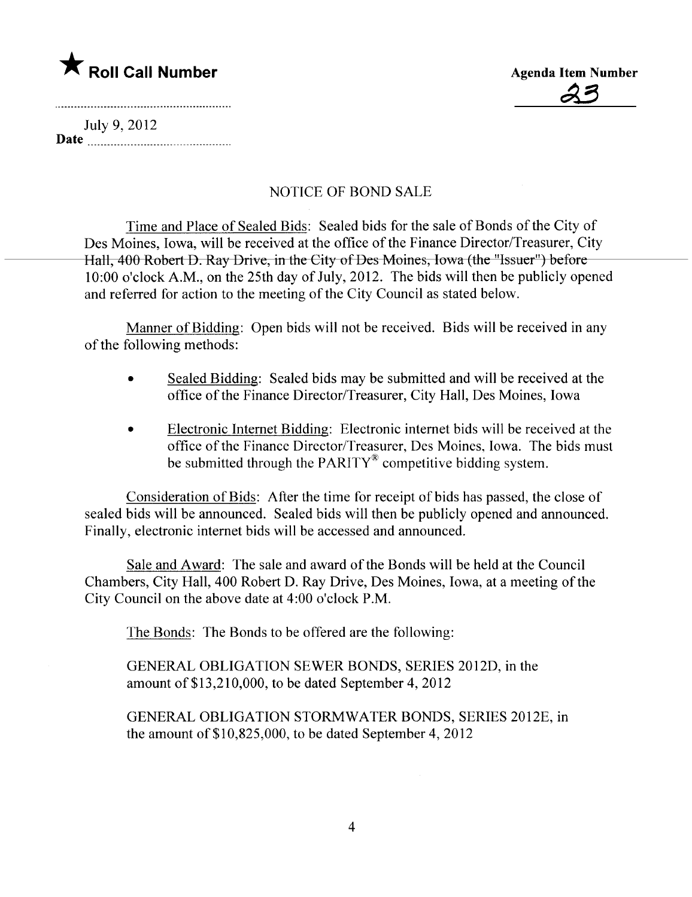# $\bigstar$  Roll Call Number



July 9, 2012 Date

### NOTICE OF BOND SALE

Time and Place of Sealed Bids: Sealed bids for the sale of Bonds of the City of Des Moines, Iowa, will be received at the office of the Finance Director/Treasurer, City Hall, 400 Robert D. Ray Drive, in the City of Des Moines, Iowa (the "Issuer") before 10:00 o'clock A.M., on the 25th day of July, 2012. The bids wil then be publicly opened and referred for action to the meeting of the City Council as stated below.

Manner of Bidding: Open bids will not be received. Bids will be received in any of the following methods:

- Sealed Bidding: Sealed bids may be submitted and will be received at the office of the Finance Director/Treasurer, City Hall, Des Moines, Iowa
- . Electronic Internet Bidding: Electronic internet bids wil be received at the office of the Finance Director/Treasurer, Des Moines, Iowa. The bids must be submitted through the PARITY $^{\circ}$  competitive bidding system.

Consideration of Bids: After the time for receipt of bids has passed, the close of sealed bids will be announced. Sealed bids will then be publicly opened and announced. Finally, electronic internet bids will be accessed and announced.

Sale and Award: The sale and award of the Bonds will be held at the Council Chambers, City Hall, 400 Robert D. Ray Drive, Des Moines, Iowa, at a meeting of the City Council on the above date at 4:00 o'clock P.M.

The Bonds: The Bonds to be offered are the following:

GENERAL OBLIGATION SEWER BONDS, SERIES 2012D, in the amount of\$13,210,000, to be dated September 4,2012

GENERAL OBLIGATION STORMWATER BONDS, SERIES 2012E, in the amount of  $$10,825,000$ , to be dated September 4, 2012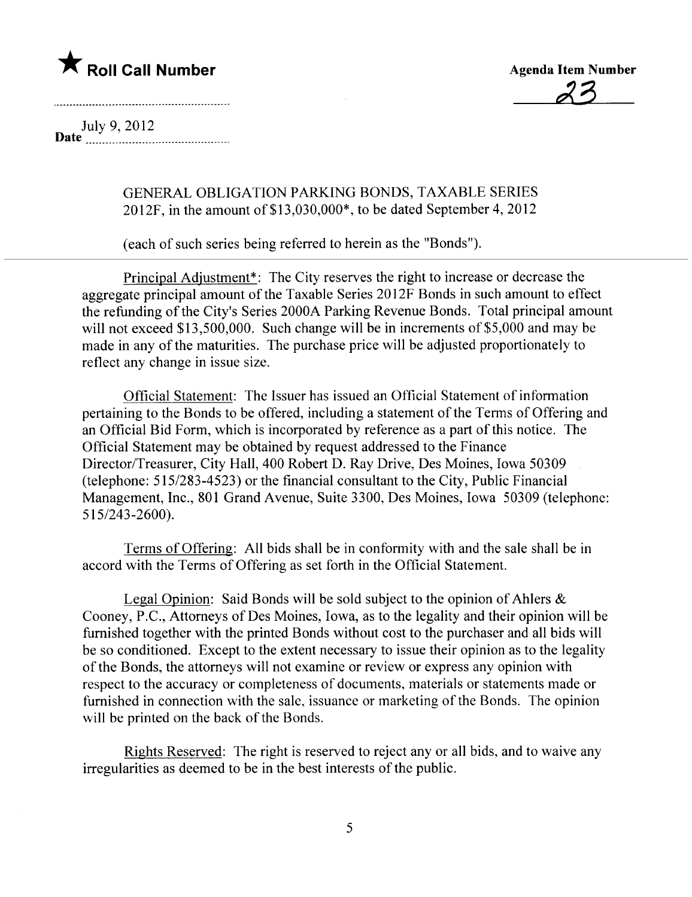

23

July 9, 2012 Date  $\frac{1}{2}$  as  $\frac{1}{2}$  ,  $\frac{2012}{200}$ 

GENERAL OBLIGATION PARKING BONDS, TAXABLE SERIES 2012F, in the amount of\$13,030,000\*, to be dated September 4,2012

(each of such series being referred to herein as the "Bonds").

Principal Adiustment\*: The City reserves the right to increase or decrease the aggregate principal amount of the Taxable Series 2012F Bonds in such amount to effect the refunding of the City's Series 2000A Parking Revenue Bonds. Total principal amount will not exceed \$13,500,000. Such change will be in increments of \$5,000 and may be made in any of the maturities. The purchase price will be adjusted proportionately to reflect any change in issue size.

Official Statement: The Issuer has issued an Official Statement of information pertaining to the Bonds to be offered, including a statement of the Terms of Offering and an Official Bid Form, which is incorporated by reference as a part of this notice. The Official Statement may be obtained by request addressed to the Finance Director/Treasurer, City Hall, 400 Robert D. Ray Drive, Des Moines, Iowa 50309 (telephone: 515/283-4523) or the financial consultant to the City, Public Financial Management, Inc., 801 Grand Avenue, Suite 3300, Des Moines, Iowa 50309 (telephone: 515/243-2600).

Terms of Offering: All bids shall be in conformity with and the sale shall be in accord with the Terms of Offering as set forth in the Official Statement.

Legal Opinion: Said Bonds will be sold subject to the opinion of Ahlers  $\&$ Cooney, P.C., Attorneys of Des Moines, Iowa, as to the legality and their opinion wil be furnished together with the printed Bonds without cost to the purchaser and all bids wil be so conditioned. Except to the extent necessary to issue their opinion as to the legality of the Bonds, the attorneys will not examine or review or express any opinion with respect to the accuracy or completeness of documents, materials or statements made or furnished in connection with the sale, issuance or marketing of the Bonds. The opinion will be printed on the back of the Bonds.

Rights Reserved: The right is reserved to reject any or all bids, and to waive any irregularities as deemed to be in the best interests of the public.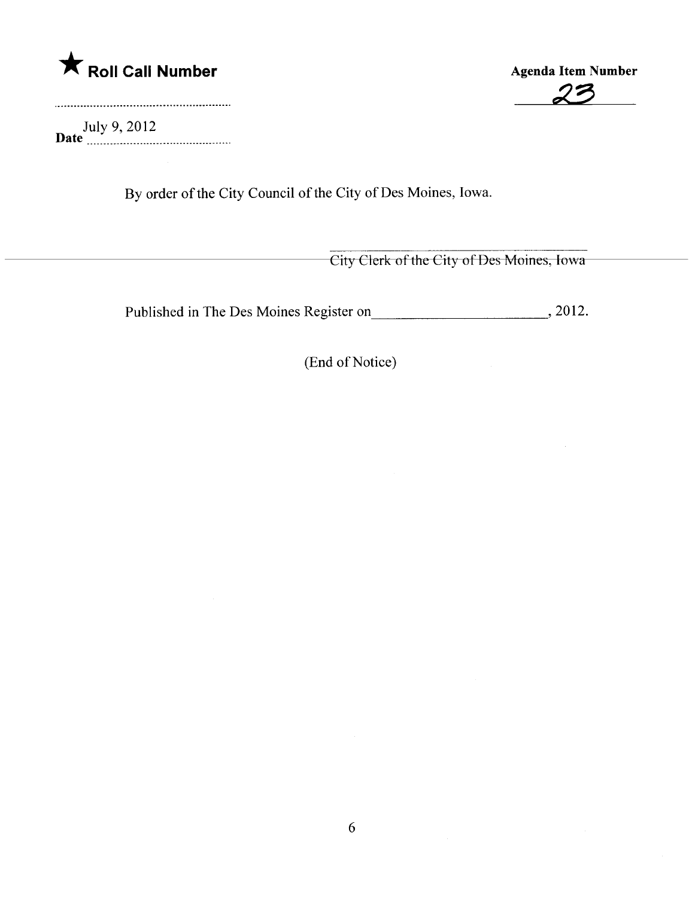

July 9, 2012<br>**Date** \_\_\_\_\_\_\_\_\_\_\_\_\_\_\_\_\_\_\_\_\_\_\_\_\_\_\_\_\_\_\_\_\_\_

A Roll Call Number Agenda Item Number Agenda Item Number

By order of the City Council of the City of Des Moines, Iowa.

City Clerk of the City of Des Moines, Iowa

Published in The Des Moines Register on , 2012.

(End of Notice)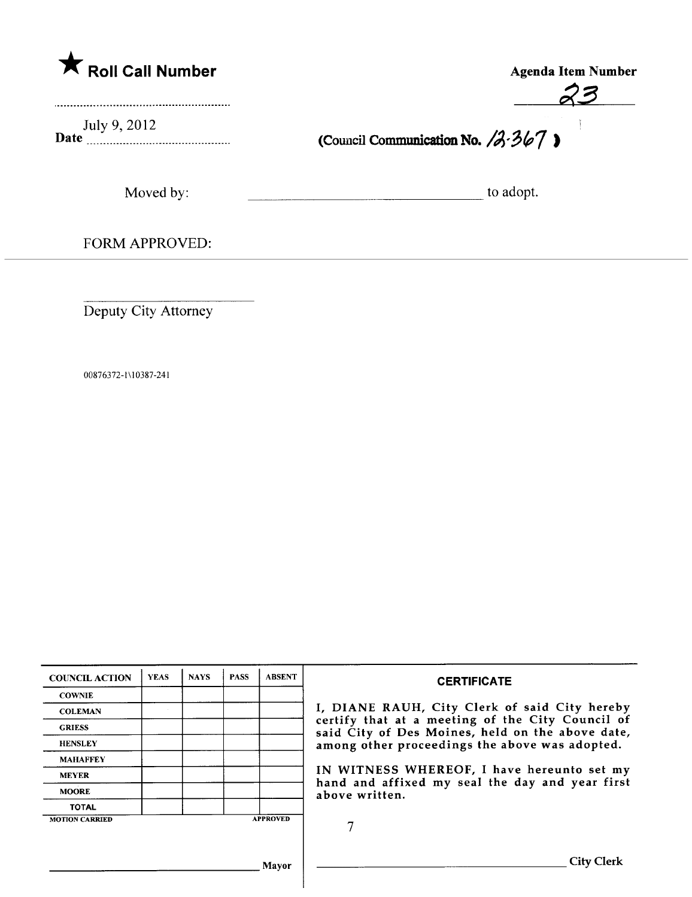|  |  | Roll Call Number |  |
|--|--|------------------|--|
|--|--|------------------|--|

Agenda Item Number 23

-1

July 9, 2012

(Council Communication No.  $/3.367$ )

Moved by: which is a constant of the adopt.

FORM APPROVED:

Deputy City Attorney

00876372-1 \ I 0387-241

| <b>COUNCIL ACTION</b> | <b>YEAS</b> | <b>NAYS</b> | <b>PASS</b> | <b>ABSENT</b>   | <b>CERTIFICATE</b>                                                                                              |  |  |  |
|-----------------------|-------------|-------------|-------------|-----------------|-----------------------------------------------------------------------------------------------------------------|--|--|--|
| <b>COWNIE</b>         |             |             |             |                 | I, DIANE RAUH, City Clerk of said City hereby                                                                   |  |  |  |
| <b>COLEMAN</b>        |             |             |             |                 |                                                                                                                 |  |  |  |
| <b>GRIESS</b>         |             |             |             |                 | certify that at a meeting of the City Council of<br>said City of Des Moines, held on the above date,            |  |  |  |
| <b>HENSLEY</b>        |             |             |             |                 | among other proceedings the above was adopted.                                                                  |  |  |  |
| <b>MAHAFFEY</b>       |             |             |             |                 |                                                                                                                 |  |  |  |
| <b>MEYER</b>          |             |             |             |                 | IN WITNESS WHEREOF, I have hereunto set my<br>hand and affixed my seal the day and year first<br>above written. |  |  |  |
| <b>MOORE</b>          |             |             |             |                 |                                                                                                                 |  |  |  |
| <b>TOTAL</b>          |             |             |             |                 |                                                                                                                 |  |  |  |
| <b>MOTION CARRIED</b> |             |             |             | <b>APPROVED</b> |                                                                                                                 |  |  |  |
|                       |             |             |             |                 |                                                                                                                 |  |  |  |
|                       |             |             |             | Mavor           | City (                                                                                                          |  |  |  |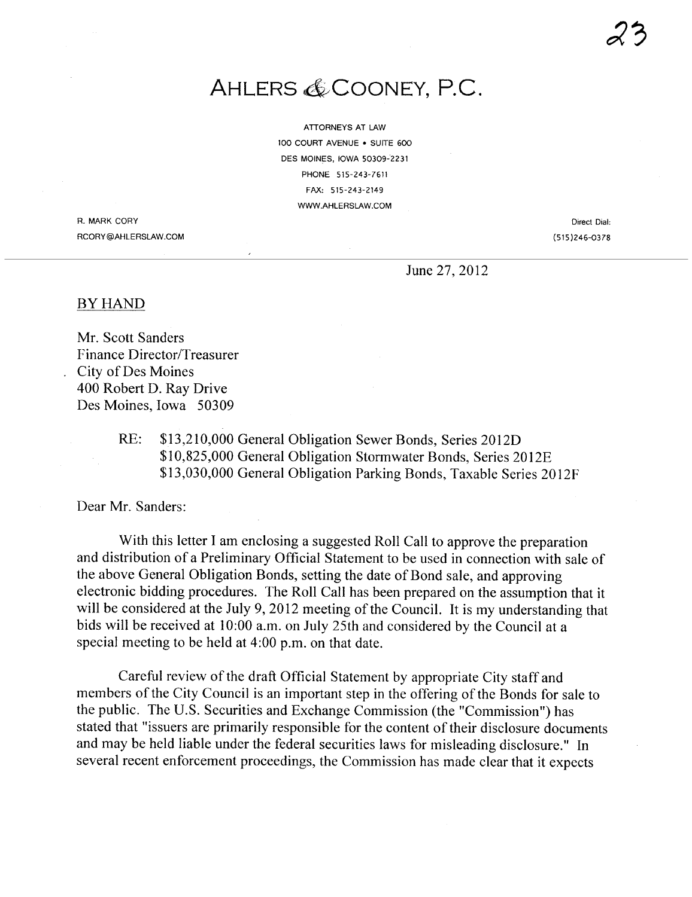ATTORNEYS AT LAW 100 COURT AVENUE . SUITE 600 DES MOINES. IOWA 50309-2231 PHONE 515-243-7611 FAX: 515-243-2149 WWW.AHLERSLAW.COM

R. MARK CORY RCORY@AHLERSLAW.COM

Direct Dial: (515)246-0378

June 27, 2012

#### BY HAND

Mr. Scott Sanders Finance Director/Treasurer City of Des Moines 400 Robert D. Ray Drive Des Moines, Iowa 50309

> RE: \$13,210,000 General Obligation Sewer Bonds, Series 2012D \$10,825,000 General Obligation Stormwater Bonds, Series 2012E \$13,030,000 General Obligation Parking Bonds, Taxable Series 20l2F

Dear Mr. Sanders:

With this letter I am enclosing a suggested Roll Call to approve the preparation and distribution of a Preliminary Official Statement to be used in connection with sale of the above General Obligation Bonds, setting the date of Bond sale, and approving electronic bidding procedures. The Roll Call has been prepared on the assumption that it will be considered at the July 9, 2012 meeting of the Council. It is my understanding that bids will be received at 10:00 a.m. on July 25th and considered by the Council at a special meeting to be held at 4:00 p.m. on that date.

Careful review of the draft Official Statement by appropriate City staff and members of the City Council is an important step in the offering of the Bonds for sale to the public. The U.S. Securities and Exchange Commission (the "Commission") has stated that "issuers are primarily responsible for the content of their disclosure documents and may be held liable under the federal securities laws for misleading disclosure." In several recent enforcement proceedings, the Commission has made clear that it expects